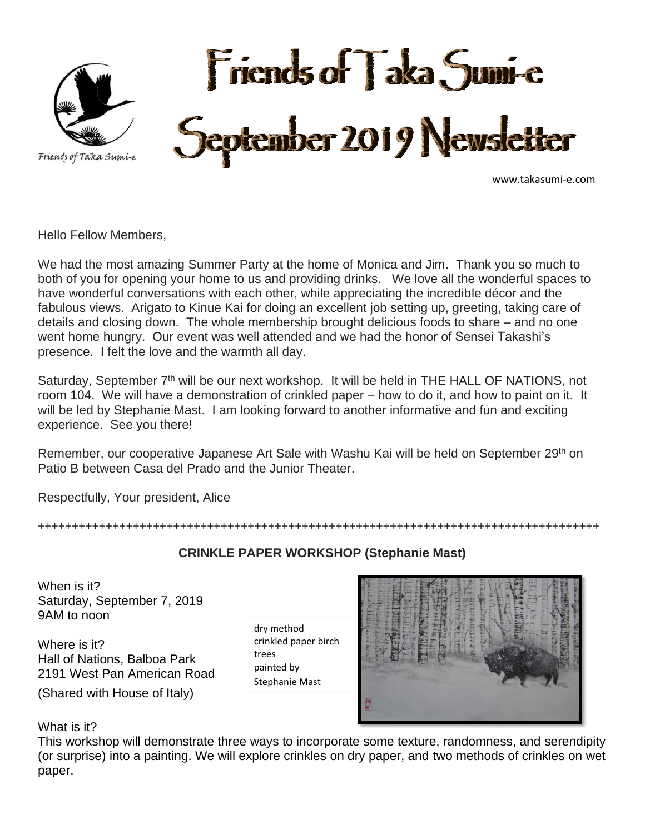

www.takasumi-e.com

Hello Fellow Members,

We had the most amazing Summer Party at the home of Monica and Jim. Thank you so much to both of you for opening your home to us and providing drinks. We love all the wonderful spaces to have wonderful conversations with each other, while appreciating the incredible décor and the fabulous views. Arigato to Kinue Kai for doing an excellent job setting up, greeting, taking care of details and closing down. The whole membership brought delicious foods to share – and no one went home hungry. Our event was well attended and we had the honor of Sensei Takashi's presence. I felt the love and the warmth all day.

Saturday, September 7<sup>th</sup> will be our next workshop. It will be held in THE HALL OF NATIONS, not room 104. We will have a demonstration of crinkled paper – how to do it, and how to paint on it. It will be led by Stephanie Mast. I am looking forward to another informative and fun and exciting experience. See you there!

Remember, our cooperative Japanese Art Sale with Washu Kai will be held on September 29<sup>th</sup> on Patio B between Casa del Prado and the Junior Theater.

Respectfully, Your president, Alice

+++++++++++++++++++++++++++++++++++++++++++++++++++++++++++++++++++++++++++++++++++

## **CRINKLE PAPER WORKSHOP (Stephanie Mast)**

When is it? Saturday, September 7, 2019 9AM to noon

Where is it? Hall of Nations, Balboa Park 2191 West Pan American Road

(Shared with House of Italy)

dry method crinkled paper birch trees painted by Stephanie Mast



What is it?

This workshop will demonstrate three ways to incorporate some texture, randomness, and serendipity (or surprise) into a painting. We will explore crinkles on dry paper, and two methods of crinkles on wet paper.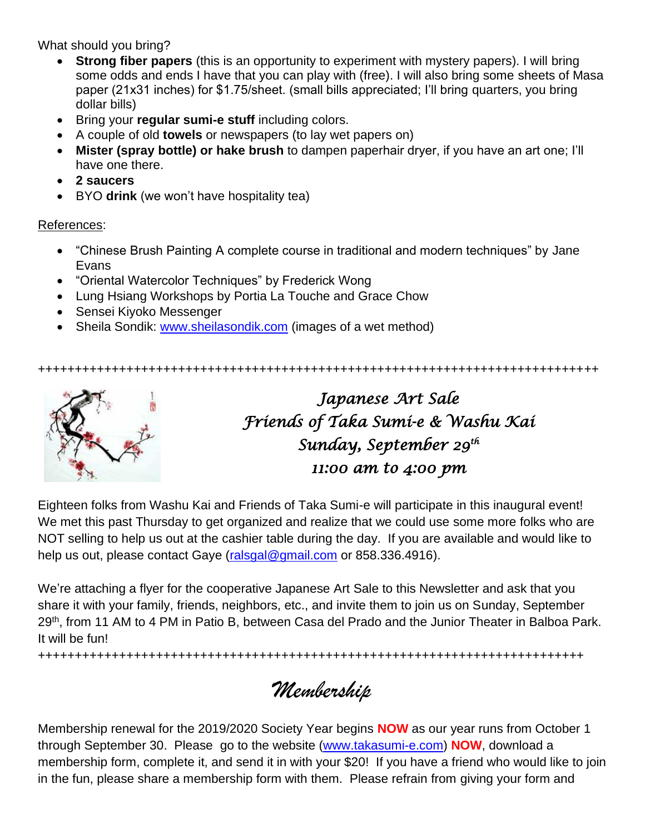What should you bring?

- **Strong fiber papers** (this is an opportunity to experiment with mystery papers). I will bring some odds and ends I have that you can play with (free). I will also bring some sheets of Masa paper (21x31 inches) for \$1.75/sheet. (small bills appreciated; I'll bring quarters, you bring dollar bills)
- Bring your **regular sumi-e stuff** including colors.
- A couple of old **towels** or newspapers (to lay wet papers on)
- **Mister (spray bottle) or hake brush** to dampen paperhair dryer, if you have an art one; I'll have one there.
- **2 saucers**
- BYO **drink** (we won't have hospitality tea)

## References:

- "Chinese Brush Painting A complete course in traditional and modern techniques" by Jane Evans
- "Oriental Watercolor Techniques" by Frederick Wong
- Lung Hsiang Workshops by Portia La Touche and Grace Chow
- Sensei Kiyoko Messenger
- Sheila Sondik: [www.sheilasondik.com](http://www.sheilasondik.com/) (images of a wet method)

++++++++++++++++++++++++++++++++++++++++++++++++++++++++++++++++++++++++++++



*Japanese Art Sale Friends of Taka Sumi-e & Washu Kai Sunday, September 29th 11:00 am to 4:00 pm* 

Eighteen folks from Washu Kai and Friends of Taka Sumi-e will participate in this inaugural event! We met this past Thursday to get organized and realize that we could use some more folks who are NOT selling to help us out at the cashier table during the day. If you are available and would like to help us out, please contact Gaye [\(ralsgal@gmail.com](mailto:ralsgal@gmail.com) or 858.336.4916).

We're attaching a flyer for the cooperative Japanese Art Sale to this Newsletter and ask that you share it with your family, friends, neighbors, etc., and invite them to join us on Sunday, September 29<sup>th</sup>, from 11 AM to 4 PM in Patio B, between Casa del Prado and the Junior Theater in Balboa Park. It will be fun!

++++++++++++++++++++++++++++++++++++++++++++++++++++++++++++++++++++++++++

*Membership*

Membership renewal for the 2019/2020 Society Year begins **NOW** as our year runs from October 1 through September 30. Please go to the website [\(www.takasumi-e.com\)](http://www.takasumi-e.com/) **NOW**, download a membership form, complete it, and send it in with your \$20! If you have a friend who would like to join in the fun, please share a membership form with them. Please refrain from giving your form and